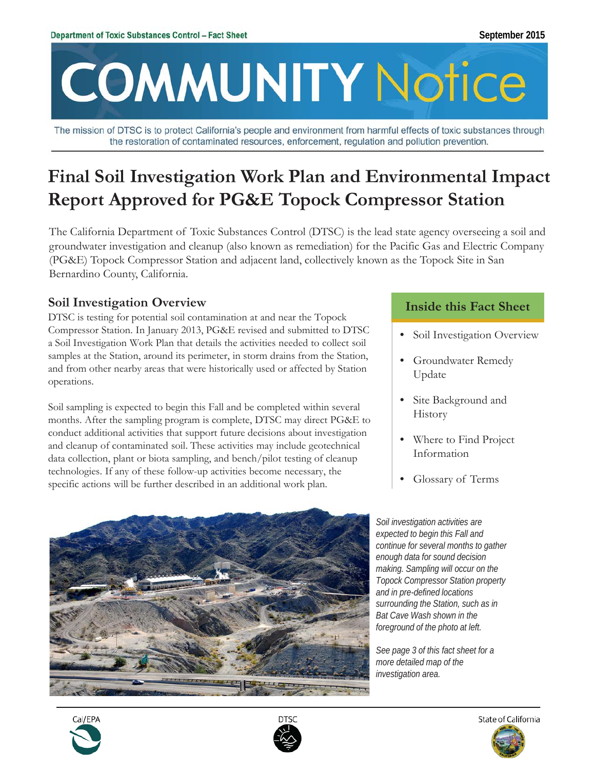

The mission of DTSC is to protect California's people and environment from harmful effects of toxic substances through the restoration of contaminated resources, enforcement, regulation and pollution prevention.

# **Final Soil Investigation Work Plan and Environmental Impact Report Approved for PG&E Topock Compressor Station**

The California Department of Toxic Substances Control (DTSC) is the lead state agency overseeing a soil and groundwater investigation and cleanup (also known as remediation) for the Pacific Gas and Electric Company (PG&E) Topock Compressor Station and adjacent land, collectively known as the Topock Site in San Bernardino County, California.

## **Soil Investigation Overview**

DTSC is testing for potential soil contamination at and near the Topock Compressor Station. In January 2013, PG&E revised and submitted to DTSC a Soil Investigation Work Plan that details the activities needed to collect soil samples at the Station, around its perimeter, in storm drains from the Station, and from other nearby areas that were historically used or affected by Station operations.

Soil sampling is expected to begin this Fall and be completed within several months. After the sampling program is complete, DTSC may direct PG&E to conduct additional activities that support future decisions about investigation and cleanup of contaminated soil. These activities may include geotechnical data collection, plant or biota sampling, and bench/pilot testing of cleanup technologies. If any of these follow-up activities become necessary, the specific actions will be further described in an additional work plan.

# **Inside this Fact Sheet**

- Soil Investigation Overview
- Groundwater Remedy Update
- Site Background and History
- Where to Find Project Information
- Glossary of Terms

*Soil investigation activities are expected to begin this Fall and continue for several months to gather enough data for sound decision making. Sampling will occur on the Topock Compressor Station property and in pre-defined locations surrounding the Station, such as in Bat Cave Wash shown in the foreground of the photo at left.* 

*See page 3 of this fact sheet for a more detailed map of the investigation area.* 







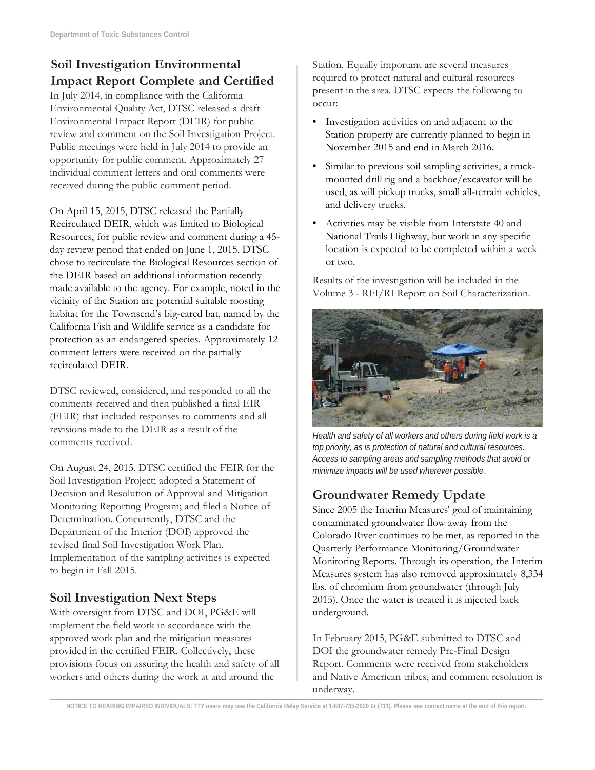# **Soil Investigation Environmental Impact Report Complete and Certified**

In July 2014, in compliance with the California Environmental Quality Act, DTSC released a draft Environmental Impact Report (DEIR) for public review and comment on the Soil Investigation Project. Public meetings were held in July 2014 to provide an opportunity for public comment. Approximately 27 individual comment letters and oral comments were received during the public comment period.

On April 15, 2015, DTSC released the Partially Recirculated DEIR, which was limited to Biological Resources, for public review and comment during a 45 day review period that ended on June 1, 2015. DTSC chose to recirculate the Biological Resources section of the DEIR based on additional information recently made available to the agency. For example, noted in the vicinity of the Station are potential suitable roosting habitat for the Townsend's big-eared bat, named by the California Fish and Wildlife service as a candidate for protection as an endangered species. Approximately 12 comment letters were received on the partially recirculated DEIR.

DTSC reviewed, considered, and responded to all the comments received and then published a final EIR (FEIR) that included responses to comments and all revisions made to the DEIR as a result of the comments received.

On August 24, 2015, DTSC certified the FEIR for the Soil Investigation Project; adopted a Statement of Decision and Resolution of Approval and Mitigation Monitoring Reporting Program; and filed a Notice of Determination. Concurrently, DTSC and the Department of the Interior (DOI) approved the revised final Soil Investigation Work Plan. Implementation of the sampling activities is expected to begin in Fall 2015.

# **Soil Investigation Next Steps**

With oversight from DTSC and DOI, PG&E will implement the field work in accordance with the approved work plan and the mitigation measures provided in the certified FEIR. Collectively, these provisions focus on assuring the health and safety of all workers and others during the work at and around the

Station. Equally important are several measures required to protect natural and cultural resources present in the area. DTSC expects the following to occur:

- Investigation activities on and adjacent to the Station property are currently planned to begin in November 2015 and end in March 2016.
- Similar to previous soil sampling activities, a truckmounted drill rig and a backhoe/excavator will be used, as will pickup trucks, small all-terrain vehicles, and delivery trucks.
- Activities may be visible from Interstate 40 and National Trails Highway, but work in any specific location is expected to be completed within a week or two.

Results of the investigation will be included in the Volume 3 - RFI/RI Report on Soil Characterization.



*Health and safety of all workers and others during field work is a top priority, as is protection of natural and cultural resources. Access to sampling areas and sampling methods that avoid or minimize impacts will be used wherever possible.*

# **Groundwater Remedy Update**

Since 2005 the Interim Measures' goal of maintaining contaminated groundwater flow away from the Colorado River continues to be met, as reported in the Quarterly Performance Monitoring/Groundwater Monitoring Reports. Through its operation, the Interim Measures system has also removed approximately 8,334 lbs. of chromium from groundwater (through July 2015). Once the water is treated it is injected back underground.

In February 2015, PG&E submitted to DTSC and DOI the groundwater remedy Pre-Final Design Report. Comments were received from stakeholders and Native American tribes, and comment resolution is underway.

**NOTICE TO HEARING IMPAIRED INDIVIDUALS: TTY users may use the California Relay Service at 1-887-735-2929 0r (711). Please see contact name at the end of this report.**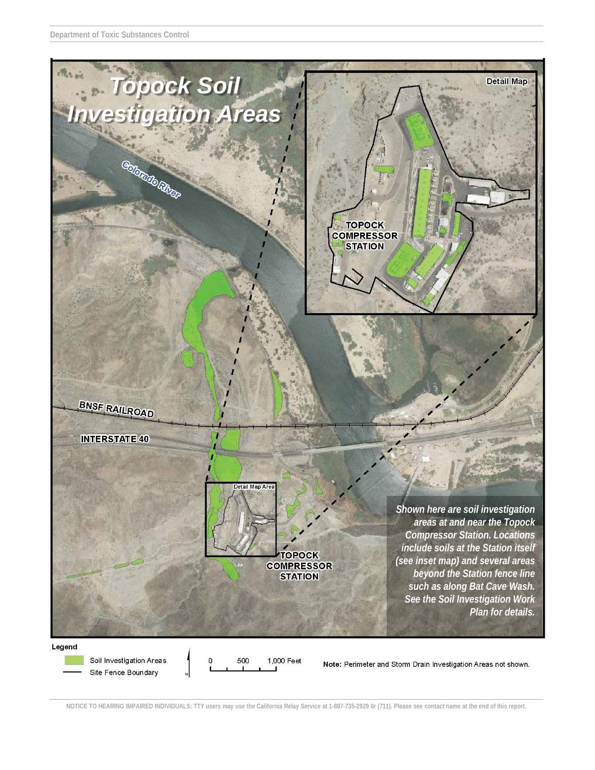

**NOTICE TO HEARING IMPAIRED INDIVIDUALS: TTY users may use the California Relay Service at 1-887-735-2929 0r (711). Please see contact name at the end of this report.**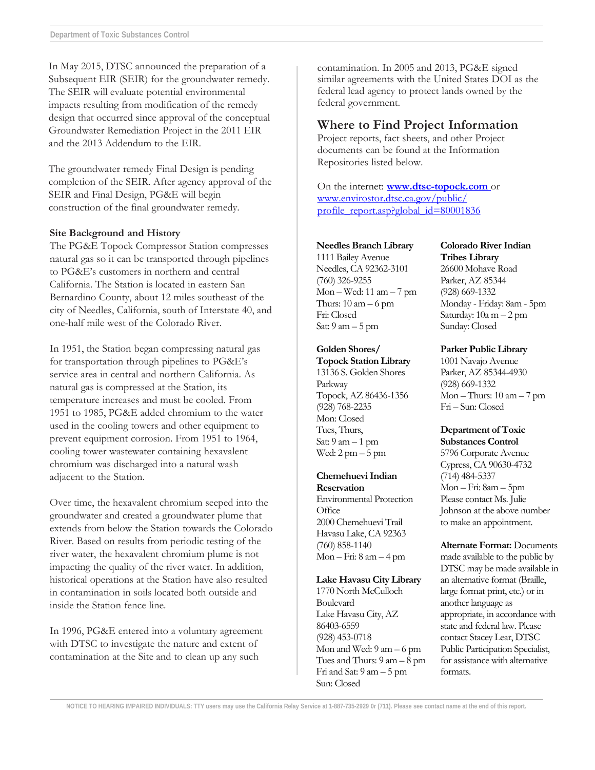In May 2015, DTSC announced the preparation of a Subsequent EIR (SEIR) for the groundwater remedy. The SEIR will evaluate potential environmental impacts resulting from modification of the remedy design that occurred since approval of the conceptual Groundwater Remediation Project in the 2011 EIR and the 2013 Addendum to the EIR.

The groundwater remedy Final Design is pending completion of the SEIR. After agency approval of the SEIR and Final Design, PG&E will begin construction of the final groundwater remedy.

#### **Site Background and History**

The PG&E Topock Compressor Station compresses natural gas so it can be transported through pipelines to PG&E's customers in northern and central California. The Station is located in eastern San Bernardino County, about 12 miles southeast of the city of Needles, California, south of Interstate 40, and one-half mile west of the Colorado River.

In 1951, the Station began compressing natural gas for transportation through pipelines to PG&E's service area in central and northern California. As natural gas is compressed at the Station, its temperature increases and must be cooled. From 1951 to 1985, PG&E added chromium to the water used in the cooling towers and other equipment to prevent equipment corrosion. From 1951 to 1964, cooling tower wastewater containing hexavalent chromium was discharged into a natural wash adjacent to the Station.

Over time, the hexavalent chromium seeped into the groundwater and created a groundwater plume that extends from below the Station towards the Colorado River. Based on results from periodic testing of the river water, the hexavalent chromium plume is not impacting the quality of the river water. In addition, historical operations at the Station have also resulted in contamination in soils located both outside and inside the Station fence line.

In 1996, PG&E entered into a voluntary agreement with DTSC to investigate the nature and extent of contamination at the Site and to clean up any such

contamination. In 2005 and 2013, PG&E signed similar agreements with the United States DOI as the federal lead agency to protect lands owned by the federal government.

#### **Where to Find Project Information**

Project reports, fact sheets, and other Project documents can be found at the Information Repositories listed below.

On the internet: **www.dtsc-topock.com** or www.envirostor.dtsc.ca.gov/public/ profile\_report.asp?global\_id=80001836

#### **Needles Branch Library**

1111 Bailey Avenue Needles, CA 92362-3101 (760) 326-9255 Mon – Wed: 11 am – 7 pm Thurs:  $10 \text{ am} - 6 \text{ pm}$ Fri: Closed Sat: 9 am – 5 pm

#### **Golden Shores/**

**Topock Station Library** 13136 S. Golden Shores Parkway Topock, AZ 86436-1356 (928) 768-2235 Mon: Closed Tues, Thurs, Sat: 9 am – 1 pm Wed: 2 pm – 5 pm

#### **Chemehuevi Indian**

**Reservation** Environmental Protection **Office** 2000 Chemehuevi Trail Havasu Lake, CA 92363 (760) 858-1140 Mon – Fri:  $8 \text{ am} - 4 \text{ pm}$ 

#### **Lake Havasu City Library**

1770 North McCulloch Boulevard Lake Havasu City, AZ 86403-6559 (928) 453-0718 Mon and Wed: 9 am – 6 pm Tues and Thurs: 9 am – 8 pm Fri and Sat: 9 am – 5 pm Sun: Closed

#### **Colorado River Indian Tribes Library**

26600 Mohave Road Parker, AZ 85344 (928) 669-1332 Monday - Friday: 8am - 5pm Saturday: 10a m – 2 pm Sunday: Closed

#### **Parker Public Library**

1001 Navajo Avenue Parker, AZ 85344-4930 (928) 669-1332 Mon – Thurs:  $10 \text{ am} - 7 \text{ pm}$ Fri – Sun: Closed

#### **Department of Toxic Substances Control**

5796 Corporate Avenue Cypress, CA 90630-4732 (714) 484-5337 Mon – Fri: 8am – 5pm Please contact Ms. Julie Johnson at the above number to make an appointment.

**Alternate Format:** Documents made available to the public by DTSC may be made available in an alternative format (Braille, large format print, etc.) or in another language as appropriate, in accordance with state and federal law. Please contact Stacey Lear, DTSC Public Participation Specialist, for assistance with alternative formats.

**NOTICE TO HEARING IMPAIRED INDIVIDUALS: TTY users may use the California Relay Service at 1-887-735-2929 0r (711). Please see contact name at the end of this report.**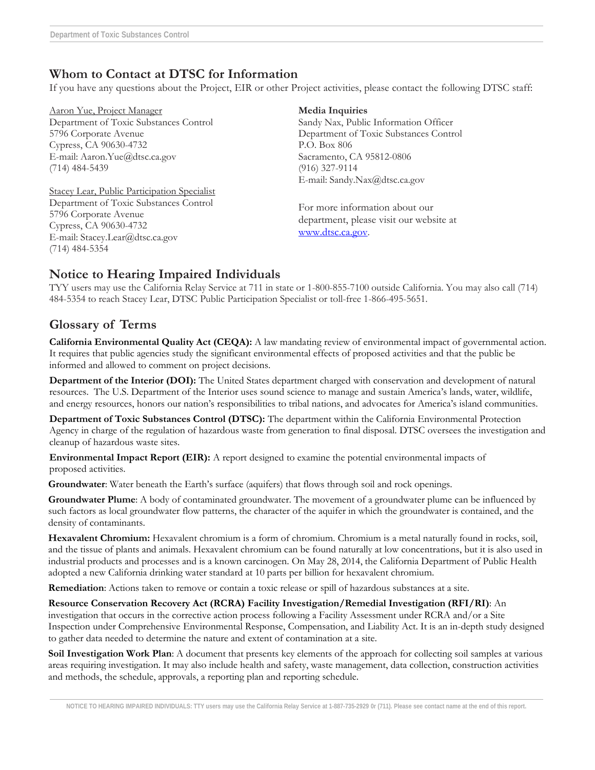# **Whom to Contact at DTSC for Information**

If you have any questions about the Project, EIR or other Project activities, please contact the following DTSC staff:

Aaron Yue, Project Manager Department of Toxic Substances Control 5796 Corporate Avenue Cypress, CA 90630-4732 E-mail: Aaron.Yue@dtsc.ca.gov (714) 484-5439

Stacey Lear, Public Participation Specialist Department of Toxic Substances Control 5796 Corporate Avenue Cypress, CA 90630-4732 E-mail: Stacey.Lear@dtsc.ca.gov (714) 484-5354

#### **Media Inquiries**

Sandy Nax, Public Information Officer Department of Toxic Substances Control P.O. Box 806 Sacramento, CA 95812-0806 (916) 327-9114 E-mail: Sandy.Nax@dtsc.ca.gov

For more information about our department, please visit our website at www.dtsc.ca.gov.

# **Notice to Hearing Impaired Individuals**

TYY users may use the California Relay Service at 711 in state or 1-800-855-7100 outside California. You may also call (714) 484-5354 to reach Stacey Lear, DTSC Public Participation Specialist or toll-free 1-866-495-5651.

### **Glossary of Terms**

**California Environmental Quality Act (CEQA):** A law mandating review of environmental impact of governmental action. It requires that public agencies study the significant environmental effects of proposed activities and that the public be informed and allowed to comment on project decisions.

**Department of the Interior (DOI):** The United States department charged with conservation and development of natural resources. The U.S. Department of the Interior uses sound science to manage and sustain America's lands, water, wildlife, and energy resources, honors our nation's responsibilities to tribal nations, and advocates for America's island communities.

**Department of Toxic Substances Control (DTSC):** The department within the California Environmental Protection Agency in charge of the regulation of hazardous waste from generation to final disposal. DTSC oversees the investigation and cleanup of hazardous waste sites.

**Environmental Impact Report (EIR):** A report designed to examine the potential environmental impacts of proposed activities.

**Groundwater**: Water beneath the Earth's surface (aquifers) that flows through soil and rock openings.

**Groundwater Plume**: A body of contaminated groundwater. The movement of a groundwater plume can be influenced by such factors as local groundwater flow patterns, the character of the aquifer in which the groundwater is contained, and the density of contaminants.

**Hexavalent Chromium:** Hexavalent chromium is a form of chromium. Chromium is a metal naturally found in rocks, soil, and the tissue of plants and animals. Hexavalent chromium can be found naturally at low concentrations, but it is also used in industrial products and processes and is a known carcinogen. On May 28, 2014, the California Department of Public Health adopted a new California drinking water standard at 10 parts per billion for hexavalent chromium.

**Remediation**: Actions taken to remove or contain a toxic release or spill of hazardous substances at a site.

**Resource Conservation Recovery Act (RCRA) Facility Investigation/Remedial Investigation (RFI/RI)**: An investigation that occurs in the corrective action process following a Facility Assessment under RCRA and/or a Site Inspection under Comprehensive Environmental Response, Compensation, and Liability Act. It is an in-depth study designed to gather data needed to determine the nature and extent of contamination at a site.

**Soil Investigation Work Plan**: A document that presents key elements of the approach for collecting soil samples at various areas requiring investigation. It may also include health and safety, waste management, data collection, construction activities and methods, the schedule, approvals, a reporting plan and reporting schedule.